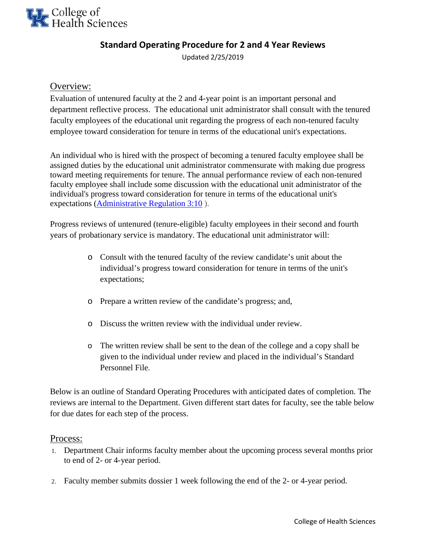

# **Standard Operating Procedure for 2 and 4 Year Reviews**

Updated 2/25/2019

## Overview:

Evaluation of untenured faculty at the 2 and 4-year point is an important personal and department reflective process. The educational unit administrator shall consult with the tenured faculty employees of the educational unit regarding the progress of each non-tenured faculty employee toward consideration for tenure in terms of the educational unit's expectations.

An individual who is hired with the prospect of becoming a tenured faculty employee shall be assigned duties by the educational unit administrator commensurate with making due progress toward meeting requirements for tenure. The annual performance review of each non-tenured faculty employee shall include some discussion with the educational unit administrator of the individual's progress toward consideration for tenure in terms of the educational unit's expectations [\(Administrative Regulation 3:10](http://www.uky.edu/regs/sites/www.uky.edu.regs/files/files/ar/ar3-10.pdf) ).

Progress reviews of untenured (tenure-eligible) faculty employees in their second and fourth years of probationary service is mandatory. The educational unit administrator will:

- o Consult with the tenured faculty of the review candidate's unit about the individual's progress toward consideration for tenure in terms of the unit's expectations;
- o Prepare a written review of the candidate's progress; and,
- $\circ$  Discuss the written review with the individual under review.
- o The written review shall be sent to the dean of the college and a copy shall be given to the individual under review and placed in the individual's Standard Personnel File.

Below is an outline of Standard Operating Procedures with anticipated dates of completion. The reviews are internal to the Department. Given different start dates for faculty, see the table below for due dates for each step of the process.

### Process:

- 1. Department Chair informs faculty member about the upcoming process several months prior to end of 2- or 4-year period.
- 2. Faculty member submits dossier 1 week following the end of the 2- or 4-year period.